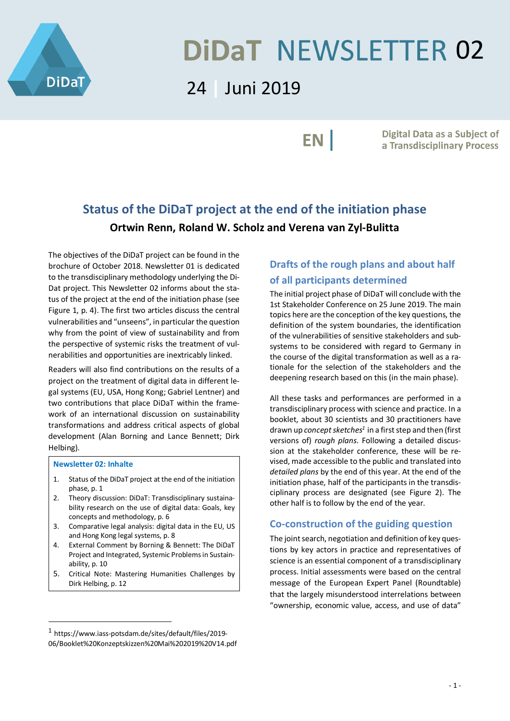

# **DIDAT NEWSLETTER 02**

# 24 **|** Juni 2019

EN |

Digital Data as a Subject of a Transdisciplinary Process

## **Status of the DiDaT project at the end of the initiation phase Ortwin Renn, Roland W. Scholz and Verena van Zyl-Bulitta**

The objectives of the DiDaT project can be found in the brochure of October 2018. Newsletter 01 is dedicated to the transdisciplinary methodology underlying the Di-Dat project. This Newsletter 02 informs about the status of the project at the end of the initiation phase (see Figure 1, p. 4). The first two articles discuss the central vulnerabilities and "unseens", in particular the question why from the point of view of sustainability and from the perspective of systemic risks the treatment of vulnerabilities and opportunities are inextricably linked.

Readers will also find contributions on the results of a project on the treatment of digital data in different legal systems (EU, USA, Hong Kong; Gabriel Lentner) and two contributions that place DiDaT within the framework of an international discussion on sustainability transformations and address critical aspects of global development (Alan Borning and Lance Bennett; Dirk Helbing).

#### **Newsletter 02: Inhalte**

- 1. Status of the DiDaT project at the end of the initiation phase, p. 1
- 2. Theory discussion: DiDaT: Transdisciplinary sustainability research on the use of digital data: Goals, key concepts and methodology, p. 6
- 3. Comparative legal analysis: digital data in the EU, US and Hong Kong legal systems, p. 8
- 4. External Comment by Borning & Bennett: The DiDaT Project and Integrated, Systemic Problems in Sustainability, p. 10
- 5. Critical Note: Mastering Humanities Challenges by Dirk Helbing, p. 12

## **Drafts of the rough plans and about half of all participants determined**

The initial project phase of DiDaT will conclude with the 1st Stakeholder Conference on 25 June 2019. The main topics here are the conception of the key questions, the definition of the system boundaries, the identification of the vulnerabilities of sensitive stakeholders and subsystems to be considered with regard to Germany in the course of the digital transformation as well as a rationale for the selection of the stakeholders and the deepening research based on this (in the main phase).

All these tasks and performances are performed in a transdisciplinary process with science and practice. In a booklet, about 30 scientists and 30 practitioners have drawn up *concept sketches1* in a first step and then (first versions of) *rough plans*. Following a detailed discussion at the stakeholder conference, these will be revised, made accessible to the public and translated into *detailed plans* by the end of this year. At the end of the initiation phase, half of the participants in the transdisciplinary process are designated (see Figure 2). The other half is to follow by the end of the year.

#### **Co-construction of the guiding question**

The joint search, negotiation and definition of key questions by key actors in practice and representatives of science is an essential component of a transdisciplinary process. Initial assessments were based on the central message of the European Expert Panel (Roundtable) that the largely misunderstood interrelations between "ownership, economic value, access, and use of data"

 <sup>1</sup> https://www.iass-potsdam.de/sites/default/files/2019- 06/Booklet%20Konzeptskizzen%20Mai%202019%20V14.pdf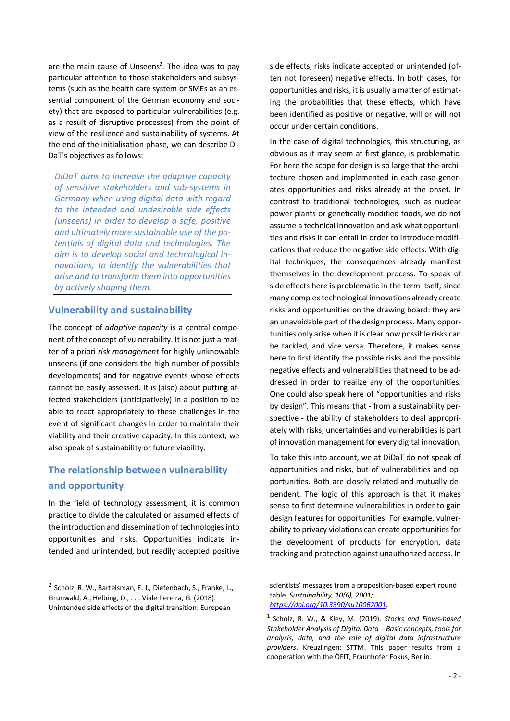are the main cause of Unseens<sup>2</sup>. The idea was to pay particular attention to those stakeholders and subsystems (such as the health care system or SMEs as an essential component of the German economy and society) that are exposed to particular vulnerabilities (e.g. as a result of disruptive processes) from the point of view of the resilience and sustainability of systems. At the end of the initialisation phase, we can describe Di-DaT's objectives as follows:

*DiDaT aims to increase the adaptive capacity of sensitive stakeholders and sub-systems in Germany when using digital data with regard to the intended and undesirable side effects (unseens) in order to develop a safe, positive and ultimately more sustainable use of the potentials of digital data and technologies. The aim is to develop social and technological innovations, to identify the vulnerabilities that arise and to transform them into opportunities by actively shaping them.*

#### **Vulnerability and sustainability**

The concept of *adaptive capacity* is a central component of the concept of vulnerability. It is not just a matter of a priori *risk management* for highly unknowable unseens (if one considers the high number of possible developments) and for negative events whose effects cannot be easily assessed. It is (also) about putting affected stakeholders (anticipatively) in a position to be able to react appropriately to these challenges in the event of significant changes in order to maintain their viability and their creative capacity. In this context, we also speak of sustainability or future viability.

## **The relationship between vulnerability and opportunity**

In the field of technology assessment, it is common practice to divide the calculated or assumed effects of the introduction and dissemination of technologies into opportunities and risks. Opportunities indicate intended and unintended, but readily accepted positive side effects, risks indicate accepted or unintended (often not foreseen) negative effects. In both cases, for opportunities and risks, it is usually a matter of estimating the probabilities that these effects, which have been identified as positive or negative, will or will not occur under certain conditions.

In the case of digital technologies, this structuring, as obvious as it may seem at first glance, is problematic. For here the scope for design is so large that the architecture chosen and implemented in each case generates opportunities and risks already at the onset. In contrast to traditional technologies, such as nuclear power plants or genetically modified foods, we do not assume a technical innovation and ask what opportunities and risks it can entail in order to introduce modifications that reduce the negative side effects. With digital techniques, the consequences already manifest themselves in the development process. To speak of side effects here is problematic in the term itself, since many complex technological innovations already create risks and opportunities on the drawing board: they are an unavoidable part of the design process. Many opportunities only arise when it is clear how possible risks can be tackled, and vice versa. Therefore, it makes sense here to first identify the possible risks and the possible negative effects and vulnerabilities that need to be addressed in order to realize any of the opportunities. One could also speak here of "opportunities and risks by design". This means that - from a sustainability perspective - the ability of stakeholders to deal appropriately with risks, uncertainties and vulnerabilities is part of innovation management for every digital innovation.

To take this into account, we at DiDaT do not speak of opportunities and risks, but of vulnerabilities and opportunities. Both are closely related and mutually dependent. The logic of this approach is that it makes sense to first determine vulnerabilities in order to gain design features for opportunities. For example, vulnerability to privacy violations can create opportunities for the development of products for encryption, data tracking and protection against unauthorized access. In

 <sup>2</sup> Scholz, R. W., Bartelsman, E. J., Diefenbach, S., Franke, L., Grunwald, A., Helbing, D., . . . Viale Pereira, G. (2018). Unintended side effects of the digital transition: European

scientists' messages from a proposition-based expert round table. *Sustainability, 10(6), 2001; https://doi.org/10.3390/su10062001*.

<sup>1</sup> Scholz, R. W., & Kley, M. (2019). *Stocks and Flows-based Stakeholder Analysis of Digital Data – Basic concepts, tools for analysis, data, and the role of digital data infrastructure providers*. Kreuzlingen: STTM. This paper results from a cooperation with the ÖFIT, Fraunhofer Fokus, Berlin.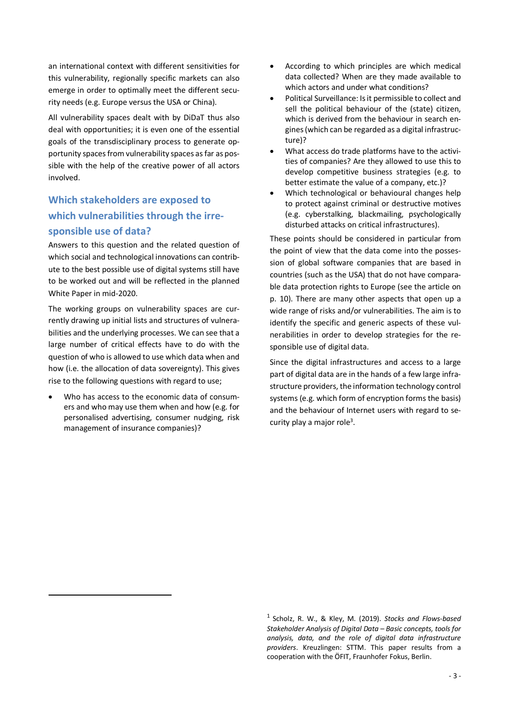an international context with different sensitivities for this vulnerability, regionally specific markets can also emerge in order to optimally meet the different security needs (e.g. Europe versus the USA or China).

All vulnerability spaces dealt with by DiDaT thus also deal with opportunities; it is even one of the essential goals of the transdisciplinary process to generate opportunity spaces from vulnerability spaces as far as possible with the help of the creative power of all actors involved.

## **Which stakeholders are exposed to which vulnerabilities through the irresponsible use of data?**

Answers to this question and the related question of which social and technological innovations can contribute to the best possible use of digital systems still have to be worked out and will be reflected in the planned White Paper in mid-2020.

The working groups on vulnerability spaces are currently drawing up initial lists and structures of vulnerabilities and the underlying processes. We can see that a large number of critical effects have to do with the question of who is allowed to use which data when and how (i.e. the allocation of data sovereignty). This gives rise to the following questions with regard to use;

Who has access to the economic data of consumers and who may use them when and how (e.g. for personalised advertising, consumer nudging, risk management of insurance companies)?

 $\overline{a}$ 

- According to which principles are which medical data collected? When are they made available to which actors and under what conditions?
- Political Surveillance: Is it permissible to collect and sell the political behaviour of the (state) citizen, which is derived from the behaviour in search engines (which can be regarded as a digital infrastructure)?
- What access do trade platforms have to the activities of companies? Are they allowed to use this to develop competitive business strategies (e.g. to better estimate the value of a company, etc.)?
- Which technological or behavioural changes help to protect against criminal or destructive motives (e.g. cyberstalking, blackmailing, psychologically disturbed attacks on critical infrastructures).

These points should be considered in particular from the point of view that the data come into the possession of global software companies that are based in countries (such as the USA) that do not have comparable data protection rights to Europe (see the article on p. 10). There are many other aspects that open up a wide range of risks and/or vulnerabilities. The aim is to identify the specific and generic aspects of these vulnerabilities in order to develop strategies for the responsible use of digital data.

Since the digital infrastructures and access to a large part of digital data are in the hands of a few large infrastructure providers, the information technology control systems (e.g. which form of encryption forms the basis) and the behaviour of Internet users with regard to security play a major role<sup>3</sup>.

<sup>1</sup> Scholz, R. W., & Kley, M. (2019). *Stocks and Flows-based Stakeholder Analysis of Digital Data – Basic concepts, tools for analysis, data, and the role of digital data infrastructure providers*. Kreuzlingen: STTM. This paper results from a cooperation with the ÖFIT, Fraunhofer Fokus, Berlin.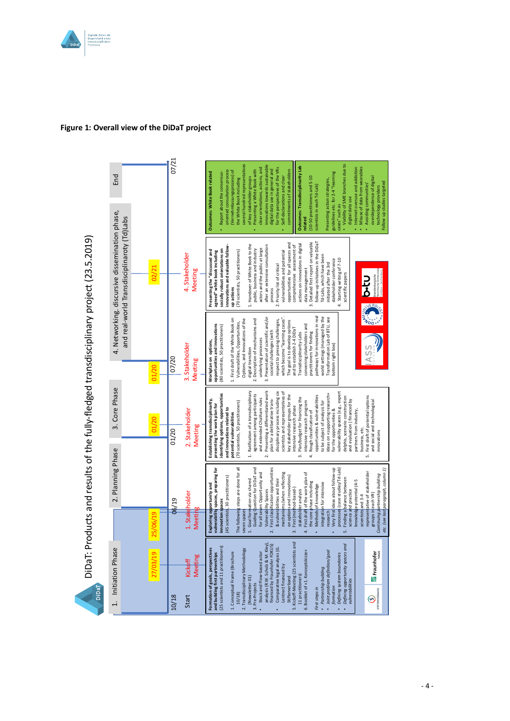

#### **Figure 1: Overall view of the DiDaT project**

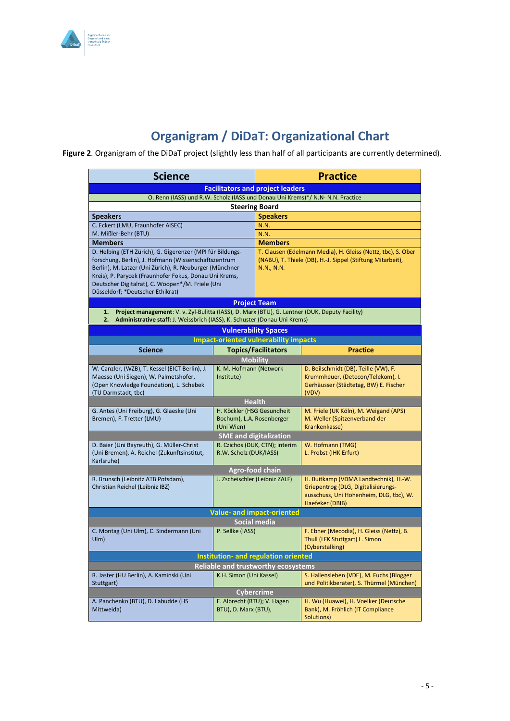

# **Organigram / DiDaT: Organizational Chart**

**Figure 2**. Organigram of the DiDaT project (slightly less than half of all participants are currently determined). DiDaT: Organizational Chart (25 June 2019)

| <b>Science</b>                                                                                                                                                                                                                                                                                                                 |                                                                       | <b>Practice</b>                                                                                                                          |                                                                                                                                            |
|--------------------------------------------------------------------------------------------------------------------------------------------------------------------------------------------------------------------------------------------------------------------------------------------------------------------------------|-----------------------------------------------------------------------|------------------------------------------------------------------------------------------------------------------------------------------|--------------------------------------------------------------------------------------------------------------------------------------------|
| <b>Facilitators and project leaders</b>                                                                                                                                                                                                                                                                                        |                                                                       |                                                                                                                                          |                                                                                                                                            |
| O. Renn (IASS) und R.W. Scholz (IASS und Donau Uni Krems)*/ N.N- N.N. Practice                                                                                                                                                                                                                                                 |                                                                       |                                                                                                                                          |                                                                                                                                            |
| <b>Steering Board</b>                                                                                                                                                                                                                                                                                                          |                                                                       |                                                                                                                                          |                                                                                                                                            |
| <b>Speakers</b>                                                                                                                                                                                                                                                                                                                |                                                                       | <b>Speakers</b>                                                                                                                          |                                                                                                                                            |
| C. Eckert (LMU, Fraunhofer AISEC)                                                                                                                                                                                                                                                                                              |                                                                       | N.N.                                                                                                                                     |                                                                                                                                            |
| M. Mißler-Behr (BTU)                                                                                                                                                                                                                                                                                                           |                                                                       | N.N.                                                                                                                                     |                                                                                                                                            |
| <b>Members</b>                                                                                                                                                                                                                                                                                                                 |                                                                       | <b>Members</b>                                                                                                                           |                                                                                                                                            |
| D. Helbing (ETH Zürich), G. Gigerenzer (MPI für Bildungs-<br>forschung, Berlin), J. Hofmann (Wissenschaftszentrum<br>Berlin), M. Latzer (Uni Zürich), R. Neuburger (Münchner<br>Kreis), P. Parycek (Fraunhofer Fokus, Donau Uni Krems,<br>Deutscher Digitalrat), C. Woopen*/M. Friele (Uni<br>Düsseldorf; *Deutscher Ethikrat) |                                                                       | T. Clausen (Edelmann Media), H. Gleiss (Nettz, tbc), S. Ober<br>(NABU), T. Thiele (DB), H.-J. Sippel (Stiftung Mitarbeit),<br>N.N., N.N. |                                                                                                                                            |
| <b>Project Team</b>                                                                                                                                                                                                                                                                                                            |                                                                       |                                                                                                                                          |                                                                                                                                            |
| Project management: V. v. Zyl-Bulitta (IASS), D. Marx (BTU), G. Lentner (DUK, Deputy Facility)<br>1.<br>Administrative staff: J. Weissbrich (IASS), K. Schuster (Donau Uni Krems)<br>2.                                                                                                                                        |                                                                       |                                                                                                                                          |                                                                                                                                            |
| <b>Vulnerability Spaces</b>                                                                                                                                                                                                                                                                                                    |                                                                       |                                                                                                                                          |                                                                                                                                            |
| <b>Impact-oriented vulnerability impacts</b>                                                                                                                                                                                                                                                                                   |                                                                       |                                                                                                                                          |                                                                                                                                            |
| <b>Science</b>                                                                                                                                                                                                                                                                                                                 |                                                                       | <b>Topics/Facilitators</b>                                                                                                               | <b>Practice</b>                                                                                                                            |
|                                                                                                                                                                                                                                                                                                                                | <b>Mobility</b>                                                       |                                                                                                                                          |                                                                                                                                            |
| W. Canzler, (WZB), T. Kessel (EICT Berlin), J.<br>Maesse (Uni Siegen), W. Palmetshofer,<br>(Open Knowledge Foundation), L. Schebek<br>(TU Darmstadt, tbc)                                                                                                                                                                      | K. M. Hofmann (Network<br>Institute)                                  |                                                                                                                                          | D. Beilschmidt (DB), Teille (VW), F.<br>Krummheuer, (Detecon/Telekom), I.<br>Gerhäusser (Städtetag, BW) E. Fischer<br>(VDV)                |
| <b>Health</b>                                                                                                                                                                                                                                                                                                                  |                                                                       |                                                                                                                                          |                                                                                                                                            |
| G. Antes (Uni Freiburg), G. Glaeske (Uni<br>Bremen), F. Tretter (LMU)                                                                                                                                                                                                                                                          | H. Köckler (HSG Gesundheit<br>Bochum), L.A. Rosenberger<br>(Uni Wien) |                                                                                                                                          | M. Friele (UK Köln), M. Weigand (APS)<br>M. Weller (Spitzenverband der<br>Krankenkasse)                                                    |
| <b>SME and digitalization</b>                                                                                                                                                                                                                                                                                                  |                                                                       |                                                                                                                                          |                                                                                                                                            |
| D. Baier (Uni Bayreuth), G. Müller-Christ<br>(Uni Bremen), A. Reichel (Zukunftsinstitut,<br>Karlsruhe)                                                                                                                                                                                                                         | R. Czichos (DUK, CTN); interim<br>R.W. Scholz (DUK/IASS)              |                                                                                                                                          | W. Hofmann (TMG)<br>L. Probst (IHK Erfurt)                                                                                                 |
| Agro-food chain                                                                                                                                                                                                                                                                                                                |                                                                       |                                                                                                                                          |                                                                                                                                            |
| R. Brunsch (Leibnitz ATB Potsdam),<br>Christian Reichel (Leibniz IBZ)                                                                                                                                                                                                                                                          | J. Zscheischler (Leibniz ZALF)                                        |                                                                                                                                          | H. Buitkamp (VDMA Landtechnik), H.-W.<br>Griepentrog (DLG, Digitalisierungs-<br>ausschuss, Uni Hohenheim, DLG, tbc), W.<br>Haefeker (DBIB) |
| <b>Value- and impact-oriented</b>                                                                                                                                                                                                                                                                                              |                                                                       |                                                                                                                                          |                                                                                                                                            |
| Social media                                                                                                                                                                                                                                                                                                                   |                                                                       |                                                                                                                                          |                                                                                                                                            |
| C. Montag (Uni Ulm), C. Sindermann (Uni<br>U(m)                                                                                                                                                                                                                                                                                | P. Sellke (IASS)                                                      |                                                                                                                                          | F. Ebner (Mecodia), H. Gleiss (Nettz), B.<br>Thull (LFK Stuttgart) L. Simon<br>(Cyberstalking)                                             |
| <b>Institution- and regulation oriented</b>                                                                                                                                                                                                                                                                                    |                                                                       |                                                                                                                                          |                                                                                                                                            |
| <b>Reliable and trustworthy ecosystems</b>                                                                                                                                                                                                                                                                                     |                                                                       |                                                                                                                                          |                                                                                                                                            |
| R. Jaster (HU Berlin), A. Kaminski (Uni<br>Stuttgart)                                                                                                                                                                                                                                                                          | K.H. Simon (Uni Kassel)                                               |                                                                                                                                          | S. Hallensleben (VDE), M. Fuchs (Blogger<br>und Politikberater), S. Thürmel (München)                                                      |
|                                                                                                                                                                                                                                                                                                                                | <b>Cybercrime</b>                                                     |                                                                                                                                          |                                                                                                                                            |
| A. Panchenko (BTU), D. Labudde (HS<br>Mittweida)                                                                                                                                                                                                                                                                               | E. Albrecht (BTU); V. Hagen<br>BTU), D. Marx (BTU),                   |                                                                                                                                          | H. Wu (Huawei), H. Voelker (Deutsche<br>Bank), M. Fröhlich (IT Compliance<br>Solutions)                                                    |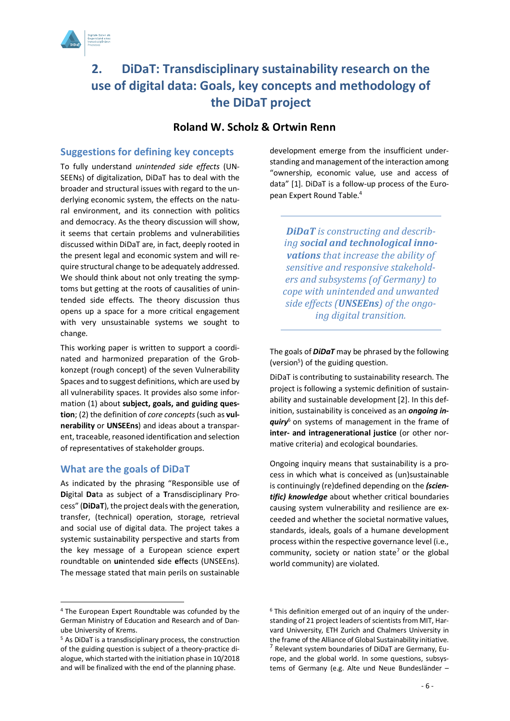

## **2. DiDaT: Transdisciplinary sustainability research on the use of digital data: Goals, key concepts and methodology of the DiDaT project**

### **Roland W. Scholz & Ortwin Renn**

#### **Suggestions for defining key concepts**

To fully understand *unintended side effects* (UN-SEENs) of digitalization, DiDaT has to deal with the broader and structural issues with regard to the underlying economic system, the effects on the natural environment, and its connection with politics and democracy. As the theory discussion will show, it seems that certain problems and vulnerabilities discussed within DiDaT are, in fact, deeply rooted in the present legal and economic system and will require structural change to be adequately addressed. We should think about not only treating the symptoms but getting at the roots of causalities of unintended side effects. The theory discussion thus opens up a space for a more critical engagement with very unsustainable systems we sought to change.

This working paper is written to support a coordinated and harmonized preparation of the Grobkonzept (rough concept) of the seven Vulnerability Spaces and to suggest definitions, which are used by all vulnerability spaces. It provides also some information (1) about **subject, goals, and guiding question**; (2) the definition of *core concepts*(such as **vulnerability** or **UNSEEns**) and ideas about a transparent, traceable, reasoned identification and selection of representatives of stakeholder groups.

#### **What are the goals of DiDaT**

As indicated by the phrasing "Responsible use of **Di**gital **Da**ta as subject of a **T**ransdisciplinary Process" (**DiDaT**), the project deals with the generation, transfer, (technical) operation, storage, retrieval and social use of digital data. The project takes a systemic sustainability perspective and starts from the key message of a European science expert roundtable on **un**intended **s**ide **e**ff**e**cts (UNSEEns). The message stated that main perils on sustainable

development emerge from the insufficient understanding and management of the interaction among "ownership, economic value, use and access of data" [1]. DiDaT is a follow-up process of the European Expert Round Table.4

*DiDaT* is constructing and describing **social and technological inno***vations that increase the ability of* sensitive and responsive stakehold*ers* and *subsystems* (of Germany) to *cope with unintended and unwanted*  side effects (**UNSEEns**) of the ongo*ing digital transition.*

The goals of *DiDaT* may be phrased by the following (version<sup>5</sup>) of the guiding question.

DiDaT is contributing to sustainability research. The project is following a systemic definition of sustainability and sustainable development [2]. In this definition, sustainability is conceived as an *ongoing inquiry*<sup>6</sup> on systems of management in the frame of **inter- and intragenerational justice** (or other normative criteria) and ecological boundaries.

Ongoing inquiry means that sustainability is a process in which what is conceived as (un)sustainable is continuingly (re)defined depending on the *(scientific) knowledge* about whether critical boundaries causing system vulnerability and resilience are exceeded and whether the societal normative values, standards, ideals, goals of a humane development process within the respective governance level (i.e., community, society or nation state<sup>7</sup> or the global world community) are violated.

 <sup>4</sup> The European Expert Roundtable was cofunded by the German Ministry of Education and Research and of Danube University of Krems.

<sup>5</sup> As DiDaT is a transdisciplinary process, the construction of the guiding question is subject of a theory-practice dialogue, which started with the initiation phase in 10/2018 and will be finalized with the end of the planning phase.

<sup>6</sup> This definition emerged out of an inquiry of the understanding of 21 project leaders of scientists from MIT, Harvard Univversity, ETH Zurich and Chalmers University in the frame of the Alliance of Global Sustainability initiative.<br><sup>7</sup> Relevant system boundaries of DiDaT are Germany, Europe, and the global world. In some questions, subsystems of Germany (e.g. Alte und Neue Bundesländer –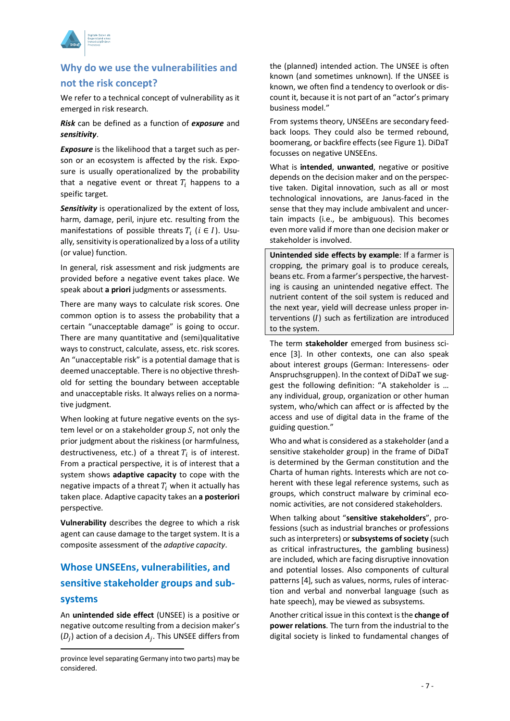

## **Why do we use the vulnerabilities and not the risk concept?**

We refer to a technical concept of vulnerability as it emerged in risk research.

*Risk* can be defined as a function of *exposure* and *sensitivity*.

*Exposure* is the likelihood that a target such as person or an ecosystem is affected by the risk. Exposure is usually operationalized by the probability that a negative event or threat  $T_i$  happens to a speific target.

*Sensitivity* is operationalized by the extent of loss, harm, damage, peril, injure etc. resulting from the manifestations of possible threats  $T_i$  ( $i \in I$ ). Usually, sensitivity is operationalized by a loss of a utility (or value) function.

In general, risk assessment and risk judgments are provided before a negative event takes place. We speak about **a priori** judgments or assessments.

There are many ways to calculate risk scores. One common option is to assess the probability that a certain "unacceptable damage" is going to occur. There are many quantitative and (semi)qualitative ways to construct, calculate, assess, etc. risk scores. An "unacceptable risk" is a potential damage that is deemed unacceptable. There is no objective threshold for setting the boundary between acceptable and unacceptable risks. It always relies on a normative judgment.

When looking at future negative events on the system level or on a stakeholder group  $S$ , not only the prior judgment about the riskiness (or harmfulness, destructiveness, etc.) of a threat  $T_i$  is of interest. From a practical perspective, it is of interest that a system shows **adaptive capacity** to cope with the negative impacts of a threat  $T_i$  when it actually has taken place. Adaptive capacity takes an **a posteriori** perspective.

**Vulnerability** describes the degree to which a risk agent can cause damage to the target system. It is a composite assessment of the *adaptive capacity*.

## **Whose UNSEEns, vulnerabilities, and sensitive stakeholder groups and subsystems**

An **unintended side effect** (UNSEE) is a positive or negative outcome resulting from a decision maker's  $(D_i)$  action of a decision  $A_i$ . This UNSEE differs from

 $\overline{a}$ 

the (planned) intended action. The UNSEE is often known (and sometimes unknown). If the UNSEE is known, we often find a tendency to overlook or discount it, because it is not part of an "actor's primary business model."

From systems theory, UNSEEns are secondary feedback loops. They could also be termed rebound, boomerang, or backfire effects (see Figure 1). DiDaT focusses on negative UNSEEns.

What is **intended**, **unwanted**, negative or positive depends on the decision maker and on the perspective taken. Digital innovation, such as all or most technological innovations, are Janus-faced in the sense that they may include ambivalent and uncertain impacts (i.e., be ambiguous). This becomes even more valid if more than one decision maker or stakeholder is involved.

**Unintended side effects by example**: If a farmer is cropping, the primary goal is to produce cereals, beans etc. From a farmer's perspective, the harvesting is causing an unintended negative effect. The nutrient content of the soil system is reduced and the next year, yield will decrease unless proper interventions  $(I)$  such as fertilization are introduced to the system.

The term **stakeholder** emerged from business science [3]. In other contexts, one can also speak about interest groups (German: Interessens- oder Anspruchsgruppen). In the context of DiDaT we suggest the following definition: "A stakeholder is … any individual, group, organization or other human system, who/which can affect or is affected by the access and use of digital data in the frame of the guiding question."

Who and what is considered as a stakeholder (and a sensitive stakeholder group) in the frame of DiDaT is determined by the German constitution and the Charta of human rights. Interests which are not coherent with these legal reference systems, such as groups, which construct malware by criminal economic activities, are not considered stakeholders.

When talking about "**sensitive stakeholders**", professions (such as industrial branches or professions such as interpreters) or **subsystems of society** (such as critical infrastructures, the gambling business) are included, which are facing disruptive innovation and potential losses. Also components of cultural patterns [4], such as values, norms, rules of interaction and verbal and nonverbal language (such as hate speech), may be viewed as subsystems.

Another critical issue in this context is the **change of power relations**. The turn from the industrial to the digital society is linked to fundamental changes of

province level separating Germany into two parts) may be considered.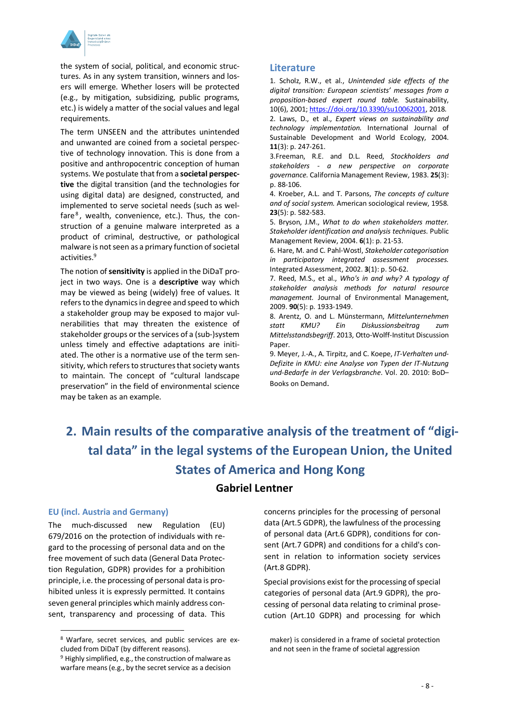

the system of social, political, and economic structures. As in any system transition, winners and losers will emerge. Whether losers will be protected (e.g., by mitigation, subsidizing, public programs, etc.) is widely a matter of the social values and legal requirements.

The term UNSEEN and the attributes unintended and unwanted are coined from a societal perspective of technology innovation. This is done from a positive and anthropocentric conception of human systems. We postulate that from a **societal perspective** the digital transition (and the technologies for using digital data) are designed, constructed, and implemented to serve societal needs (such as welfare $<sup>8</sup>$ , wealth, convenience, etc.). Thus, the con-</sup> struction of a genuine malware interpreted as a product of criminal, destructive, or pathological malware is not seen as a primary function of societal activities.9

The notion of **sensitivity** is applied in the DiDaT project in two ways. One is a **descriptive** way which may be viewed as being (widely) free of values. It refers to the dynamics in degree and speed to which a stakeholder group may be exposed to major vulnerabilities that may threaten the existence of stakeholder groups or the services of a (sub-)system unless timely and effective adaptations are initiated. The other is a normative use of the term sensitivity, which refers to structures that society wants to maintain. The concept of "cultural landscape preservation" in the field of environmental science may be taken as an example.

#### **Literature**

1. Scholz, R.W., et al., *Unintended side effects of the digital transition: European scientists' messages from a proposition-based expert round table.* Sustainability, 10(6), 2001; https://doi.org/10.3390/su10062001, 2018.

2. Laws, D., et al., *Expert views on sustainability and technology implementation.* International Journal of Sustainable Development and World Ecology, 2004. **11**(3): p. 247-261.

3.Freeman, R.E. and D.L. Reed, *Stockholders and stakeholders - a new perspective on corporate governance.* California Management Review, 1983. **25**(3): p. 88-106.

4. Kroeber, A.L. and T. Parsons, *The concepts of culture and of social system.* American sociological review, 1958. **23**(5): p. 582-583.

5. Bryson, J.M., *What to do when stakeholders matter. Stakeholder identification and analysis techniques.* Public Management Review, 2004. **6**(1): p. 21-53.

6. Hare, M. and C. Pahl-Wostl, *Stakeholder categorisation in participatory integrated assessment processes.* Integrated Assessment, 2002. **3**(1): p. 50-62.

7. Reed, M.S., et al., *Who's in and why? A typology of stakeholder analysis methods for natural resource management.* Journal of Environmental Management, 2009. **90**(5): p. 1933-1949.

8. Arentz, O. and L. Münstermann, *Mittelunternehmen statt KMU? Ein Diskussionsbeitrag zum Mittelsstandsbegriff*. 2013, Otto-Wolff-Institut Discussion Paper.

9. Meyer, J.-A., A. Tirpitz, and C. Koepe, *IT-Verhalten und-Defizite in KMU: eine Analyse von Typen der IT-Nutzung und-Bedarfe in der Verlagsbranche*. Vol. 20. 2010: BoD– Books on Demand.

# **2. Main results of the comparative analysis of the treatment of "digital data" in the legal systems of the European Union, the United States of America and Hong Kong Gabriel Lentner**

#### **EU (incl. Austria and Germany)**

The much-discussed new Regulation (EU) 679/2016 on the protection of individuals with regard to the processing of personal data and on the free movement of such data (General Data Protection Regulation, GDPR) provides for a prohibition principle, i.e. the processing of personal data is prohibited unless it is expressly permitted. It contains seven general principles which mainly address consent, transparency and processing of data. This concerns principles for the processing of personal data (Art.5 GDPR), the lawfulness of the processing of personal data (Art.6 GDPR), conditions for consent (Art.7 GDPR) and conditions for a child's consent in relation to information society services (Art.8 GDPR).

Special provisions exist for the processing of special categories of personal data (Art.9 GDPR), the processing of personal data relating to criminal prosecution (Art.10 GDPR) and processing for which

 <sup>8</sup> Warfare, secret services, and public services are excluded from DiDaT (by different reasons).

<sup>9</sup> Highly simplified, e.g., the construction of malware as warfare means (e.g., by the secret service as a decision

maker) is considered in a frame of societal protection and not seen in the frame of societal aggression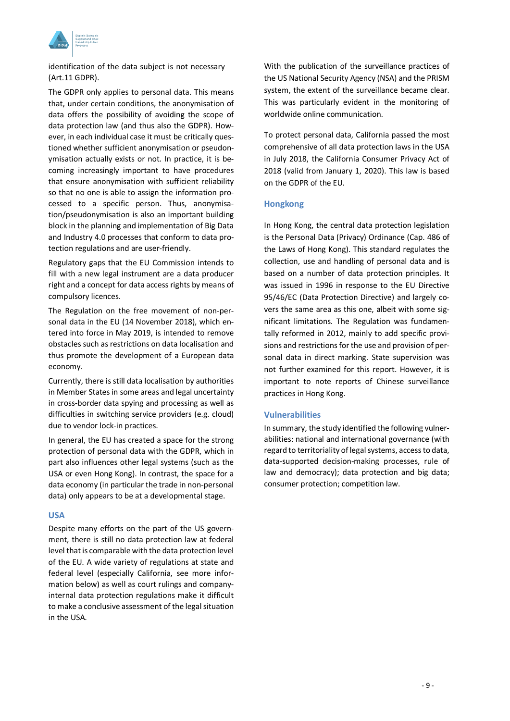

identification of the data subject is not necessary (Art.11 GDPR).

The GDPR only applies to personal data. This means that, under certain conditions, the anonymisation of data offers the possibility of avoiding the scope of data protection law (and thus also the GDPR). However, in each individual case it must be critically questioned whether sufficient anonymisation or pseudonymisation actually exists or not. In practice, it is becoming increasingly important to have procedures that ensure anonymisation with sufficient reliability so that no one is able to assign the information processed to a specific person. Thus, anonymisation/pseudonymisation is also an important building block in the planning and implementation of Big Data and Industry 4.0 processes that conform to data protection regulations and are user-friendly.

Regulatory gaps that the EU Commission intends to fill with a new legal instrument are a data producer right and a concept for data access rights by means of compulsory licences.

The Regulation on the free movement of non-personal data in the EU (14 November 2018), which entered into force in May 2019, is intended to remove obstacles such as restrictions on data localisation and thus promote the development of a European data economy.

Currently, there is still data localisation by authorities in Member States in some areas and legal uncertainty in cross-border data spying and processing as well as difficulties in switching service providers (e.g. cloud) due to vendor lock-in practices.

In general, the EU has created a space for the strong protection of personal data with the GDPR, which in part also influences other legal systems (such as the USA or even Hong Kong). In contrast, the space for a data economy (in particular the trade in non-personal data) only appears to be at a developmental stage.

#### **USA**

Despite many efforts on the part of the US government, there is still no data protection law at federal level that is comparable with the data protection level of the EU. A wide variety of regulations at state and federal level (especially California, see more information below) as well as court rulings and companyinternal data protection regulations make it difficult to make a conclusive assessment of the legal situation in the USA.

With the publication of the surveillance practices of the US National Security Agency (NSA) and the PRISM system, the extent of the surveillance became clear. This was particularly evident in the monitoring of worldwide online communication.

To protect personal data, California passed the most comprehensive of all data protection laws in the USA in July 2018, the California Consumer Privacy Act of 2018 (valid from January 1, 2020). This law is based on the GDPR of the EU.

#### **Hongkong**

In Hong Kong, the central data protection legislation is the Personal Data (Privacy) Ordinance (Cap. 486 of the Laws of Hong Kong). This standard regulates the collection, use and handling of personal data and is based on a number of data protection principles. It was issued in 1996 in response to the EU Directive 95/46/EC (Data Protection Directive) and largely covers the same area as this one, albeit with some significant limitations. The Regulation was fundamentally reformed in 2012, mainly to add specific provisions and restrictions for the use and provision of personal data in direct marking. State supervision was not further examined for this report. However, it is important to note reports of Chinese surveillance practices in Hong Kong.

#### **Vulnerabilities**

In summary, the study identified the following vulnerabilities: national and international governance (with regard to territoriality of legal systems, access to data, data-supported decision-making processes, rule of law and democracy); data protection and big data; consumer protection; competition law.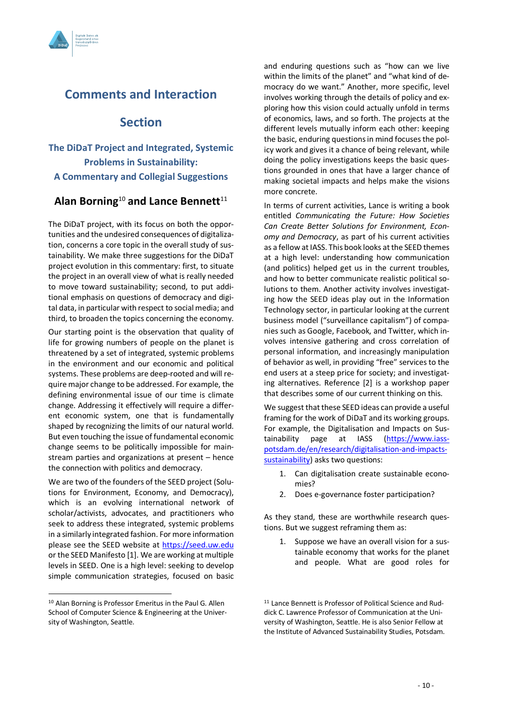

## **Comments and Interaction**

## **Section**

## **The DiDaT Project and Integrated, Systemic Problems in Sustainability: A Commentary and Collegial Suggestions**

## **Alan Borning**<sup>10</sup> **and Lance Bennett**<sup>11</sup>

The DiDaT project, with its focus on both the opportunities and the undesired consequences of digitalization, concerns a core topic in the overall study of sustainability. We make three suggestions for the DiDaT project evolution in this commentary: first, to situate the project in an overall view of what is really needed to move toward sustainability; second, to put additional emphasis on questions of democracy and digital data, in particular with respect to social media; and third, to broaden the topics concerning the economy.

Our starting point is the observation that quality of life for growing numbers of people on the planet is threatened by a set of integrated, systemic problems in the environment and our economic and political systems. These problems are deep-rooted and will require major change to be addressed. For example, the defining environmental issue of our time is climate change. Addressing it effectively will require a different economic system, one that is fundamentally shaped by recognizing the limits of our natural world. But even touching the issue of fundamental economic change seems to be politically impossible for mainstream parties and organizations at present – hence the connection with politics and democracy.

We are two of the founders of the SEED project (Solutions for Environment, Economy, and Democracy), which is an evolving international network of scholar/activists, advocates, and practitioners who seek to address these integrated, systemic problems in a similarly integrated fashion. For more information please see the SEED website at https://seed.uw.edu or the SEED Manifesto [1]. We are working at multiple levels in SEED. One is a high level: seeking to develop simple communication strategies, focused on basic

and enduring questions such as "how can we live within the limits of the planet" and "what kind of democracy do we want." Another, more specific, level involves working through the details of policy and exploring how this vision could actually unfold in terms of economics, laws, and so forth. The projects at the different levels mutually inform each other: keeping the basic, enduring questions in mind focuses the policy work and gives it a chance of being relevant, while doing the policy investigations keeps the basic questions grounded in ones that have a larger chance of making societal impacts and helps make the visions more concrete.

In terms of current activities, Lance is writing a book entitled *Communicating the Future: How Societies Can Create Better Solutions for Environment, Economy and Democracy*, as part of his current activities as a fellow at IASS. This book looks at the SEED themes at a high level: understanding how communication (and politics) helped get us in the current troubles, and how to better communicate realistic political solutions to them. Another activity involves investigating how the SEED ideas play out in the Information Technology sector, in particular looking at the current business model ("surveillance capitalism") of companies such as Google, Facebook, and Twitter, which involves intensive gathering and cross correlation of personal information, and increasingly manipulation of behavior as well, in providing "free" services to the end users at a steep price for society; and investigating alternatives. Reference [2] is a workshop paper that describes some of our current thinking on this.

We suggest that these SEED ideas can provide a useful framing for the work of DiDaT and its working groups. For example, the Digitalisation and Impacts on Sustainability page at IASS (https://www.iasspotsdam.de/en/research/digitalisation-and-impactssustainability) asks two questions:

- 1. Can digitalisation create sustainable economies?
- 2. Does e-governance foster participation?

As they stand, these are worthwhile research questions. But we suggest reframing them as:

1. Suppose we have an overall vision for a sustainable economy that works for the planet and people. What are good roles for

 <sup>10</sup> Alan Borning is Professor Emeritus in the Paul G. Allen School of Computer Science & Engineering at the University of Washington, Seattle.

<sup>11</sup> Lance Bennett is Professor of Political Science and Ruddick C. Lawrence Professor of Communication at the University of Washington, Seattle. He is also Senior Fellow at the Institute of Advanced Sustainability Studies, Potsdam.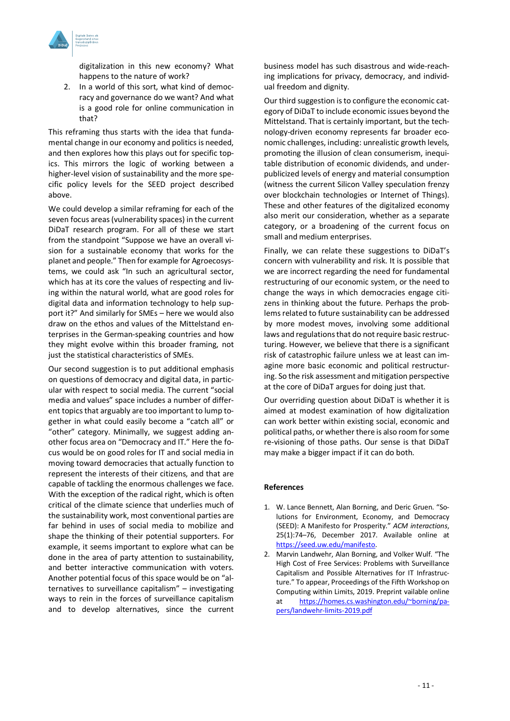

digitalization in this new economy? What happens to the nature of work?

2. In a world of this sort, what kind of democracy and governance do we want? And what is a good role for online communication in that?

This reframing thus starts with the idea that fundamental change in our economy and politics is needed, and then explores how this plays out for specific topics. This mirrors the logic of working between a higher-level vision of sustainability and the more specific policy levels for the SEED project described above.

We could develop a similar reframing for each of the seven focus areas (vulnerability spaces) in the current DiDaT research program. For all of these we start from the standpoint "Suppose we have an overall vision for a sustainable economy that works for the planet and people." Then for example for Agroecosystems, we could ask "In such an agricultural sector, which has at its core the values of respecting and living within the natural world, what are good roles for digital data and information technology to help support it?" And similarly for SMEs – here we would also draw on the ethos and values of the Mittelstand enterprises in the German-speaking countries and how they might evolve within this broader framing, not just the statistical characteristics of SMEs.

Our second suggestion is to put additional emphasis on questions of democracy and digital data, in particular with respect to social media. The current "social media and values" space includes a number of different topics that arguably are too important to lump together in what could easily become a "catch all" or "other" category. Minimally, we suggest adding another focus area on "Democracy and IT." Here the focus would be on good roles for IT and social media in moving toward democracies that actually function to represent the interests of their citizens, and that are capable of tackling the enormous challenges we face. With the exception of the radical right, which is often critical of the climate science that underlies much of the sustainability work, most conventional parties are far behind in uses of social media to mobilize and shape the thinking of their potential supporters. For example, it seems important to explore what can be done in the area of party attention to sustainability, and better interactive communication with voters. Another potential focus of this space would be on "alternatives to surveillance capitalism" – investigating ways to rein in the forces of surveillance capitalism and to develop alternatives, since the current

business model has such disastrous and wide-reaching implications for privacy, democracy, and individual freedom and dignity.

Our third suggestion is to configure the economic category of DiDaT to include economic issues beyond the Mittelstand. That is certainly important, but the technology-driven economy represents far broader economic challenges, including: unrealistic growth levels, promoting the illusion of clean consumerism, inequitable distribution of economic dividends, and underpublicized levels of energy and material consumption (witness the current Silicon Valley speculation frenzy over blockchain technologies or Internet of Things). These and other features of the digitalized economy also merit our consideration, whether as a separate category, or a broadening of the current focus on small and medium enterprises.

Finally, we can relate these suggestions to DiDaT's concern with vulnerability and risk. It is possible that we are incorrect regarding the need for fundamental restructuring of our economic system, or the need to change the ways in which democracies engage citizens in thinking about the future. Perhaps the problems related to future sustainability can be addressed by more modest moves, involving some additional laws and regulations that do not require basic restructuring. However, we believe that there is a significant risk of catastrophic failure unless we at least can imagine more basic economic and political restructuring. So the risk assessment and mitigation perspective at the core of DiDaT argues for doing just that.

Our overriding question about DiDaT is whether it is aimed at modest examination of how digitalization can work better within existing social, economic and political paths, or whether there is also room for some re-visioning of those paths. Our sense is that DiDaT may make a bigger impact if it can do both.

#### **References**

- 1. W. Lance Bennett, Alan Borning, and Deric Gruen. "Solutions for Environment, Economy, and Democracy (SEED): A Manifesto for Prosperity." *ACM interactions*, 25(1):74–76, December 2017. Available online at https://seed.uw.edu/manifesto.
- 2. Marvin Landwehr, Alan Borning, and Volker Wulf. "The High Cost of Free Services: Problems with Surveillance Capitalism and Possible Alternatives for IT Infrastructure." To appear, Proceedings of the Fifth Workshop on Computing within Limits, 2019. Preprint vailable online at https://homes.cs.washington.edu/~borning/papers/landwehr-limits-2019.pdf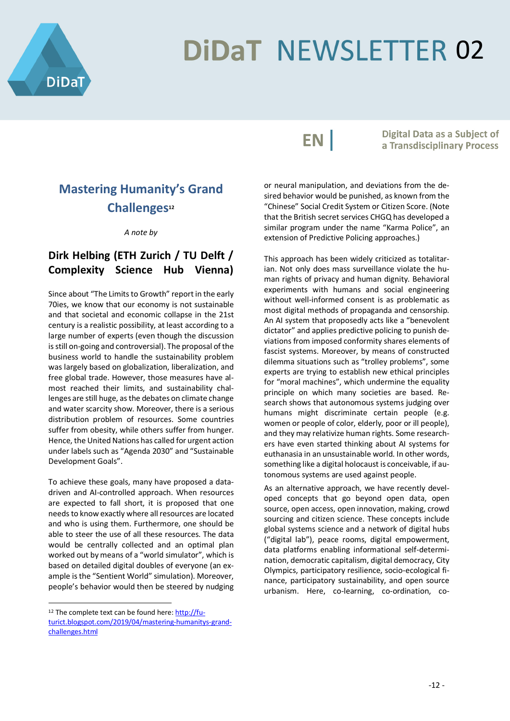

# **DiDaT NEWSLETTER 02**

EN |

**Digital Data as a Subject of** a Transdisciplinary Process

# **Mastering Humanity's Grand**  Challenges<sup>12</sup>

*A note by* 

## **Dirk Helbing (ETH Zurich / TU Delft / Complexity Science Hub Vienna)**

Since about "The Limits to Growth" report in the early 70ies, we know that our economy is not sustainable and that societal and economic collapse in the 21st century is a realistic possibility, at least according to a large number of experts (even though the discussion is still on-going and controversial). The proposal of the business world to handle the sustainability problem was largely based on globalization, liberalization, and free global trade. However, those measures have almost reached their limits, and sustainability challenges are still huge, as the debates on climate change and water scarcity show. Moreover, there is a serious distribution problem of resources. Some countries suffer from obesity, while others suffer from hunger. Hence, the United Nations has called for urgent action under labels such as "Agenda 2030" and "Sustainable Development Goals".

To achieve these goals, many have proposed a datadriven and AI-controlled approach. When resources are expected to fall short, it is proposed that one needs to know exactly where all resources are located and who is using them. Furthermore, one should be able to steer the use of all these resources. The data would be centrally collected and an optimal plan worked out by means of a "world simulator", which is based on detailed digital doubles of everyone (an example is the "Sentient World" simulation). Moreover, people's behavior would then be steered by nudging

or neural manipulation, and deviations from the desired behavior would be punished, as known from the "Chinese" Social Credit System or Citizen Score. (Note that the British secret services CHGQ has developed a similar program under the name "Karma Police", an extension of Predictive Policing approaches.)

This approach has been widely criticized as totalitarian. Not only does mass surveillance violate the human rights of privacy and human dignity. Behavioral experiments with humans and social engineering without well-informed consent is as problematic as most digital methods of propaganda and censorship. An AI system that proposedly acts like a "benevolent dictator" and applies predictive policing to punish deviations from imposed conformity shares elements of fascist systems. Moreover, by means of constructed dilemma situations such as "trolley problems", some experts are trying to establish new ethical principles for "moral machines", which undermine the equality principle on which many societies are based. Research shows that autonomous systems judging over humans might discriminate certain people (e.g. women or people of color, elderly, poor or ill people), and they may relativize human rights. Some researchers have even started thinking about AI systems for euthanasia in an unsustainable world. In other words, something like a digital holocaust is conceivable, if autonomous systems are used against people.

As an alternative approach, we have recently developed concepts that go beyond open data, open source, open access, open innovation, making, crowd sourcing and citizen science. These concepts include global systems science and a network of digital hubs ("digital lab"), peace rooms, digital empowerment, data platforms enabling informational self-determination, democratic capitalism, digital democracy, City Olympics, participatory resilience, socio-ecological finance, participatory sustainability, and open source urbanism. Here, co-learning, co-ordination, co-

<sup>12</sup> The complete text can be found here: http://futurict.blogspot.com/2019/04/mastering-humanitys-grandchallenges.html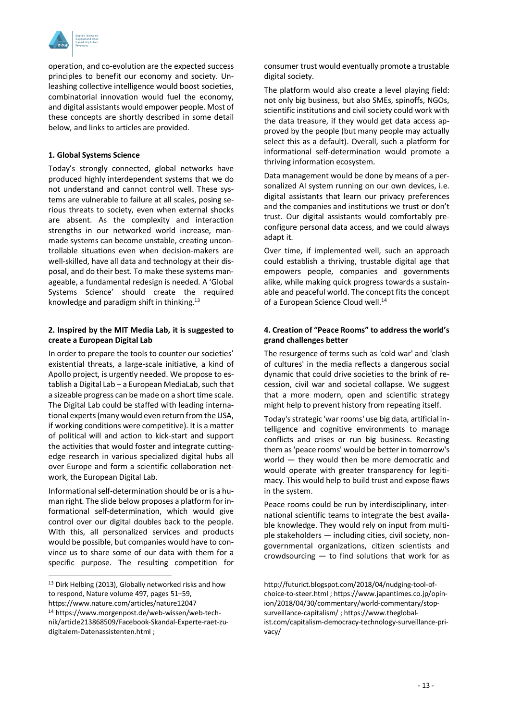

operation, and co-evolution are the expected success principles to benefit our economy and society. Unleashing collective intelligence would boost societies, combinatorial innovation would fuel the economy, and digital assistants would empower people. Most of these concepts are shortly described in some detail below, and links to articles are provided.

#### **1. Global Systems Science**

Today's strongly connected, global networks have produced highly interdependent systems that we do not understand and cannot control well. These systems are vulnerable to failure at all scales, posing serious threats to society, even when external shocks are absent. As the complexity and interaction strengths in our networked world increase, manmade systems can become unstable, creating uncontrollable situations even when decision-makers are well-skilled, have all data and technology at their disposal, and do their best. To make these systems manageable, a fundamental redesign is needed. A 'Global Systems Science' should create the required knowledge and paradigm shift in thinking.<sup>13</sup>

#### **2. Inspired by the MIT Media Lab, it is suggested to create a European Digital Lab**

In order to prepare the tools to counter our societies' existential threats, a large-scale initiative, a kind of Apollo project, is urgently needed. We propose to establish a Digital Lab – a European MediaLab, such that a sizeable progress can be made on a short time scale. The Digital Lab could be staffed with leading international experts (many would even return from the USA, if working conditions were competitive). It is a matter of political will and action to kick-start and support the activities that would foster and integrate cuttingedge research in various specialized digital hubs all over Europe and form a scientific collaboration network, the European Digital Lab.

Informational self-determination should be or is a human right. The slide below proposes a platform for informational self-determination, which would give control over our digital doubles back to the people. With this, all personalized services and products would be possible, but companies would have to convince us to share some of our data with them for a specific purpose. The resulting competition for consumer trust would eventually promote a trustable digital society.

The platform would also create a level playing field: not only big business, but also SMEs, spinoffs, NGOs, scientific institutions and civil society could work with the data treasure, if they would get data access approved by the people (but many people may actually select this as a default). Overall, such a platform for informational self-determination would promote a thriving information ecosystem.

Data management would be done by means of a personalized AI system running on our own devices, i.e. digital assistants that learn our privacy preferences and the companies and institutions we trust or don't trust. Our digital assistants would comfortably preconfigure personal data access, and we could always adapt it.

Over time, if implemented well, such an approach could establish a thriving, trustable digital age that empowers people, companies and governments alike, while making quick progress towards a sustainable and peaceful world. The concept fits the concept of a European Science Cloud well.<sup>14</sup>

#### **4. Creation of "Peace Rooms" to address the world's grand challenges better**

The resurgence of terms such as 'cold war' and 'clash of cultures' in the media reflects a dangerous social dynamic that could drive societies to the brink of recession, civil war and societal collapse. We suggest that a more modern, open and scientific strategy might help to prevent history from repeating itself.

Today's strategic 'war rooms' use big data, artificial intelligence and cognitive environments to manage conflicts and crises or run big business. Recasting them as 'peace rooms' would be better in tomorrow's world — they would then be more democratic and would operate with greater transparency for legitimacy. This would help to build trust and expose flaws in the system.

Peace rooms could be run by interdisciplinary, international scientific teams to integrate the best available knowledge. They would rely on input from multiple stakeholders — including cities, civil society, nongovernmental organizations, citizen scientists and crowdsourcing — to find solutions that work for as

<sup>&</sup>lt;sup>13</sup> Dirk Helbing (2013), Globally networked risks and how to respond, Nature volume 497, pages 51–59,

https://www.nature.com/articles/nature12047

<sup>14</sup> https://www.morgenpost.de/web-wissen/web-technik/article213868509/Facebook-Skandal-Experte-raet-zudigitalem-Datenassistenten.html ;

http://futurict.blogspot.com/2018/04/nudging-tool-ofchoice-to-steer.html ; https://www.japantimes.co.jp/opinion/2018/04/30/commentary/world-commentary/stopsurveillance-capitalism/ ; https://www.theglobalist.com/capitalism-democracy-technology-surveillance-privacy/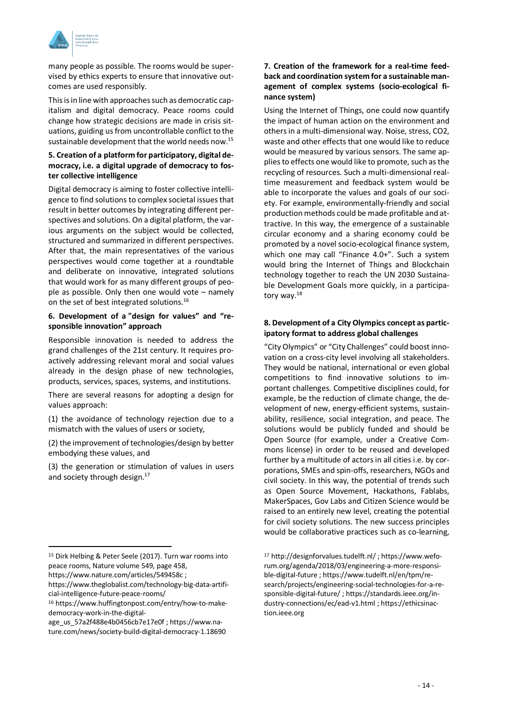

many people as possible. The rooms would be supervised by ethics experts to ensure that innovative outcomes are used responsibly.

This is in line with approaches such as democratic capitalism and digital democracy. Peace rooms could change how strategic decisions are made in crisis situations, guiding us from uncontrollable conflict to the sustainable development that the world needs now.<sup>15</sup>

#### **5. Creation of a platform for participatory, digital democracy, i.e. a digital upgrade of democracy to foster collective intelligence**

Digital democracy is aiming to foster collective intelligence to find solutions to complex societal issues that result in better outcomes by integrating different perspectives and solutions. On a digital platform, the various arguments on the subject would be collected, structured and summarized in different perspectives. After that, the main representatives of the various perspectives would come together at a roundtable and deliberate on innovative, integrated solutions that would work for as many different groups of people as possible. Only then one would vote – namely on the set of best integrated solutions.<sup>16</sup>

#### **6. Development of a "design for values" and "responsible innovation" approach**

Responsible innovation is needed to address the grand challenges of the 21st century. It requires proactively addressing relevant moral and social values already in the design phase of new technologies, products, services, spaces, systems, and institutions.

There are several reasons for adopting a design for values approach:

(1) the avoidance of technology rejection due to a mismatch with the values of users or society,

(2) the improvement of technologies/design by better embodying these values, and

(3) the generation or stimulation of values in users and society through design.<sup>17</sup>

https://www.nature.com/articles/549458c ;

#### **7. Creation of the framework for a real-time feedback and coordination system for a sustainable management of complex systems (socio-ecological finance system)**

Using the Internet of Things, one could now quantify the impact of human action on the environment and others in a multi-dimensional way. Noise, stress, CO2, waste and other effects that one would like to reduce would be measured by various sensors. The same applies to effects one would like to promote, such as the recycling of resources. Such a multi-dimensional realtime measurement and feedback system would be able to incorporate the values and goals of our society. For example, environmentally-friendly and social production methods could be made profitable and attractive. In this way, the emergence of a sustainable circular economy and a sharing economy could be promoted by a novel socio-ecological finance system, which one may call "Finance 4.0+". Such a system would bring the Internet of Things and Blockchain technology together to reach the UN 2030 Sustainable Development Goals more quickly, in a participatory way.18

#### **8. Development of a City Olympics concept as participatory format to address global challenges**

"City Olympics" or "City Challenges" could boost innovation on a cross-city level involving all stakeholders. They would be national, international or even global competitions to find innovative solutions to important challenges. Competitive disciplines could, for example, be the reduction of climate change, the development of new, energy-efficient systems, sustainability, resilience, social integration, and peace. The solutions would be publicly funded and should be Open Source (for example, under a Creative Commons license) in order to be reused and developed further by a multitude of actors in all cities i.e. by corporations, SMEs and spin-offs, researchers, NGOs and civil society. In this way, the potential of trends such as Open Source Movement, Hackathons, Fablabs, MakerSpaces, Gov Labs and Citizen Science would be raised to an entirely new level, creating the potential for civil society solutions. The new success principles would be collaborative practices such as co-learning,

 <sup>15</sup> Dirk Helbing & Peter Seele (2017). Turn war rooms into peace rooms, Nature volume 549, page 458,

https://www.theglobalist.com/technology-big-data-artificial-intelligence-future-peace-rooms/

<sup>16</sup> https://www.huffingtonpost.com/entry/how-to-makedemocracy-work-in-the-digital-

age\_us\_57a2f488e4b0456cb7e17e0f ; https://www.nature.com/news/society-build-digital-democracy-1.18690

<sup>17</sup> http://designforvalues.tudelft.nl/ ; https://www.weforum.org/agenda/2018/03/engineering-a-more-responsible-digital-future ; https://www.tudelft.nl/en/tpm/research/projects/engineering-social-technologies-for-a-responsible-digital-future/ ; https://standards.ieee.org/industry-connections/ec/ead-v1.html ; https://ethicsinaction.ieee.org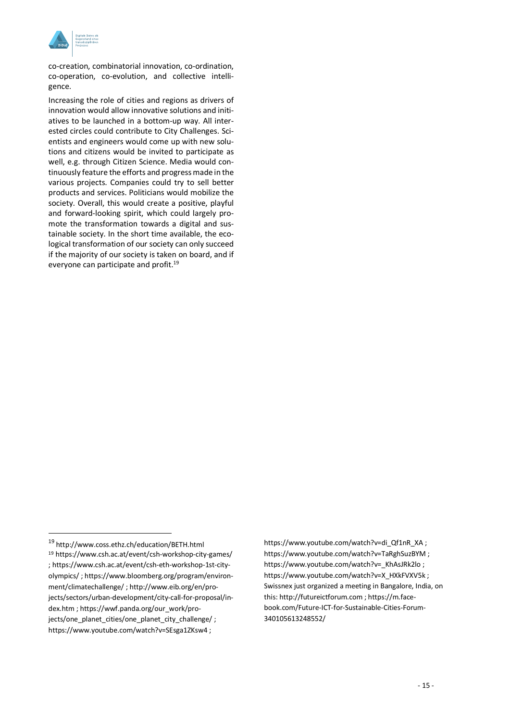

co-creation, combinatorial innovation, co-ordination, co-operation, co-evolution, and collective intelligence.

Increasing the role of cities and regions as drivers of innovation would allow innovative solutions and initiatives to be launched in a bottom-up way. All interested circles could contribute to City Challenges. Scientists and engineers would come up with new solutions and citizens would be invited to participate as well, e.g. through Citizen Science. Media would continuously feature the efforts and progress made in the various projects. Companies could try to sell better products and services. Politicians would mobilize the society. Overall, this would create a positive, playful and forward-looking spirit, which could largely promote the transformation towards a digital and sustainable society. In the short time available, the ecological transformation of our society can only succeed if the majority of our society is taken on board, and if everyone can participate and profit.<sup>19</sup>

https://www.youtube.com/watch?v=di\_Qf1nR\_XA; https://www.youtube.com/watch?v=TaRghSuzBYM ; https://www.youtube.com/watch?v= KhAsJRk2lo ; https://www.youtube.com/watch?v=X\_HXkFVXV5k ; Swissnex just organized a meeting in Bangalore, India, on this: http://futureictforum.com ; https://m.facebook.com/Future-ICT-for-Sustainable-Cities-Forum-340105613248552/

 <sup>19</sup> http://www.coss.ethz.ch/education/BETH.html <sup>19</sup> https://www.csh.ac.at/event/csh-workshop-city-games/ ; https://www.csh.ac.at/event/csh-eth-workshop-1st-cityolympics/ ; https://www.bloomberg.org/program/environment/climatechallenge/ ; http://www.eib.org/en/projects/sectors/urban-development/city-call-for-proposal/index.htm ; https://wwf.panda.org/our\_work/projects/one\_planet\_cities/one\_planet\_city\_challenge/ ; https://www.youtube.com/watch?v=SEsga1ZKsw4 ;